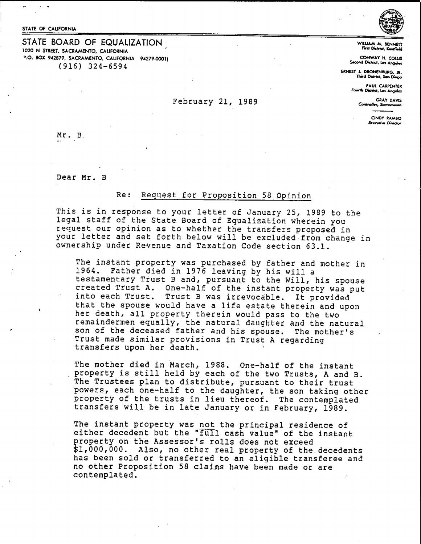STATE OF CALIFORNIA

STATE BOARD OF EQUALIZATION 1020 N STREET, SACRAMENTO, CALIFORNIA "'.0. **SOX 942879, SACRAMENTO. CALIFORNIA 94279-0001)**  {916) 324-6594

**WltLU.M M. SENNETT First District. Kandfield** 

**CONWAT H. COWS Second District, Los Angeles** 

**ERNEST J. DRONENBUIG, JI!. Tlwd Otdricr, So. 1:Mvo** 

**FAUL CARPENTER**<br>**Fourth District, Los Angeles** 

February 21, 1989 **CAY DAVIS** 

CINOT RAMBO **Executive Director** 

Mr. B.

Dear Mr. B

## Re: Request for Proposition 58 Opinion

This is in response to your letter of January 25, 1989 to the legal staff of the State Board of Equalization wherein you request our opinion as to whether the transfers proposed in your letter and set forth below will be excluded from change in ownership under Revenue and Taxation Code section 63.1.

The instant property was purchased by father and mother in 1964. Father died in 1976 leaving by his will a testamentary Trust Band, pursuant to the Will, his spouse created Trust A. One-half of the instant property was put into each Trust. Trust B was irrevocable. It provided that the spouse would have a life estate therein and upon her death, all property therein would pass to the two remaindermen equally, the natural daughter and the natural son of the deceased father and his spouse. The mother's Trust made similar provisions in Trust A regarding transfers upon her death.

The mother died in March, 1988. One-half of the instant property is still held by each of the two Trusts, A and B. The Trustees plan to distribute, pursuant to their trust powers, each one-half to the daughter, the son taking other property of the trusts in lieu thereof. The contemplated transfers will be in late January or in February, 1989.

The instant property was not the principal residence of either decedent but the "full cash value" of the instant property on the Assessor's rolls does not exceed \$1,000,000. Also, no other real property of the.decedents has been sold or transferred to an eligible transferee and no other Proposition 58 claims have been made or are contemplated.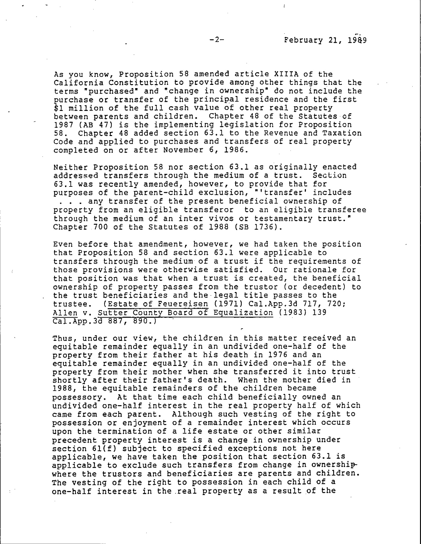As you know, Proposition 58 amended article **XIIIA** of the California Constitution to provide among other things that the terms "purchased" and "change in ownership" do not include the purchase or transfer of the principal residence and the first \$1 million of the full cash value of other real property between parents and children. Chapter 48 of the Statutes of 1987 (AB 47) is the implementing legislation for Proposition 58. Chapter 48 added section 63.1 to the Revenue and Taxation Code and applied to purchases and transfers of real property completed on or after November 6, 1986.

Neither Proposition 58 nor section 63.1 as originally enacted addressed transfers through the medium of a trust. 63.1 was recently amended, however, to provide that for purposes of the parent-child exclusion, "'transfer' includes . . . any transfer of the present beneficial ownership of property from an eligible transferor to an eligible transfere e through the medium of an inter vivos or testamentary trust." Chapter 700 of the Statutes of 1988 (SB 1736).

Even before that amendment, however, we had taken the position that Proposition 58 and section 63.1 were applicable to transfers through the medium of a trust if the requirements of those provisions were otherwise satisfied. Our rationale for that position was that when a trust is created, the beneficial ownership of property passes from the truster (or decedent) to the trust beneficiaries and the-legal title passes to the trustee. (Estate of Feuereisen (1971) [Cal.App.3d](https://Cal.App.3d) 717, 720; Allen v. Sutter County Board of Equalization (1983) 139 [Cal.App.3d](https://Cal.App.3d) 887, 890.)

Thus, under our view, the children in this matter received an equitable remainder equally in an undivided one-half of the property from their father at his death in 1976 and an equitable remainder equally in an undivided one-half of the property from their mother when she transferred it into trust shortly after their father's death. When the mother died in 1988, the equitable remainders of the children became possessory. At that time each child beneficially owned an undivided one-half interest in the real property half of which came from each parent. Although such vesting of the right to possession or enjoyment of a remainder interest which occurs upon the termination of a life estate or other similar precedent property interest is a change in ownership under section 6l(f) subject to specified exceptions not here applicable, we have taken the position that section 63.1 is applicable to exclude such transfers from change in ownership. where the trustors and beneficiaries are parents and children. The vesting of the right to possession in each child of a one-half interest in the .real property as a result \_of the